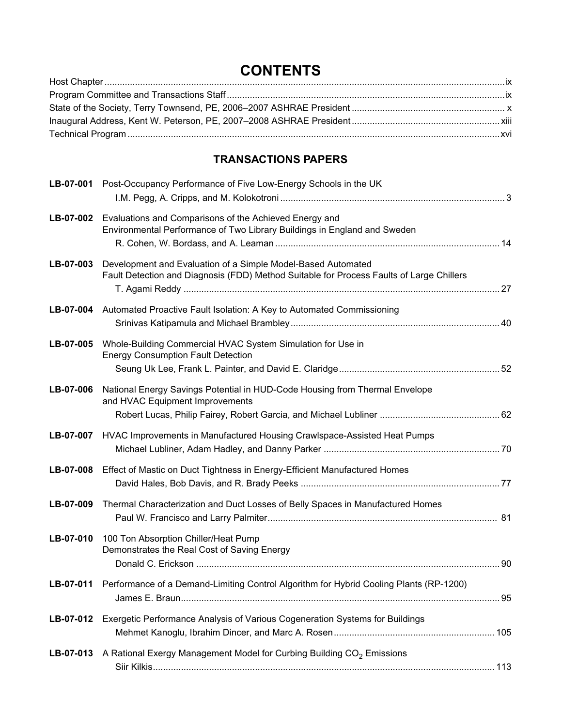## **CONTENTS**

## **TRANSACTIONS PAPERS**

| LB-07-001 | Post-Occupancy Performance of Five Low-Energy Schools in the UK                                                                                          |  |
|-----------|----------------------------------------------------------------------------------------------------------------------------------------------------------|--|
| LB-07-002 | Evaluations and Comparisons of the Achieved Energy and<br>Environmental Performance of Two Library Buildings in England and Sweden                       |  |
| LB-07-003 | Development and Evaluation of a Simple Model-Based Automated<br>Fault Detection and Diagnosis (FDD) Method Suitable for Process Faults of Large Chillers |  |
|           | LB-07-004 Automated Proactive Fault Isolation: A Key to Automated Commissioning                                                                          |  |
| LB-07-005 | Whole-Building Commercial HVAC System Simulation for Use in<br><b>Energy Consumption Fault Detection</b>                                                 |  |
| LB-07-006 | National Energy Savings Potential in HUD-Code Housing from Thermal Envelope<br>and HVAC Equipment Improvements                                           |  |
| LB-07-007 | HVAC Improvements in Manufactured Housing Crawlspace-Assisted Heat Pumps                                                                                 |  |
| LB-07-008 | Effect of Mastic on Duct Tightness in Energy-Efficient Manufactured Homes                                                                                |  |
| LB-07-009 | Thermal Characterization and Duct Losses of Belly Spaces in Manufactured Homes                                                                           |  |
| LB-07-010 | 100 Ton Absorption Chiller/Heat Pump<br>Demonstrates the Real Cost of Saving Energy                                                                      |  |
| LB-07-011 | Performance of a Demand-Limiting Control Algorithm for Hybrid Cooling Plants (RP-1200)                                                                   |  |
| LB-07-012 | Exergetic Performance Analysis of Various Cogeneration Systems for Buildings                                                                             |  |
| LB-07-013 | A Rational Exergy Management Model for Curbing Building CO <sub>2</sub> Emissions                                                                        |  |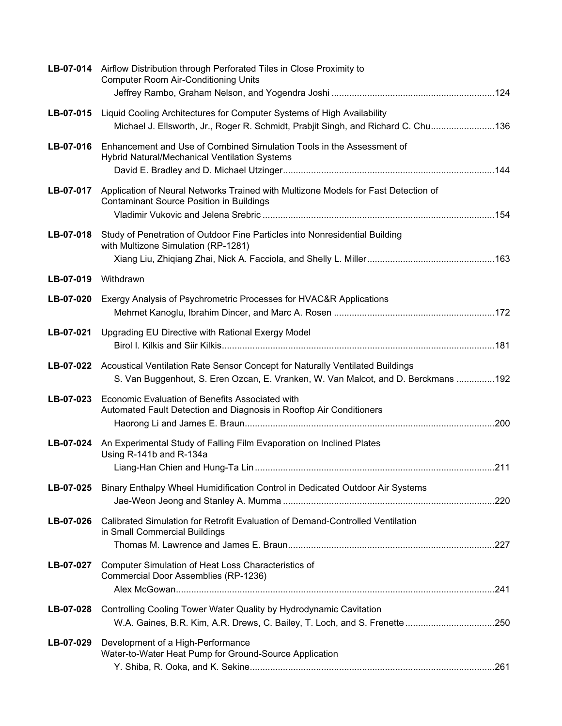|           | LB-07-014 Airflow Distribution through Perforated Tiles in Close Proximity to<br><b>Computer Room Air-Conditioning Units</b>                                       |  |
|-----------|--------------------------------------------------------------------------------------------------------------------------------------------------------------------|--|
|           |                                                                                                                                                                    |  |
| LB-07-015 | Liquid Cooling Architectures for Computer Systems of High Availability                                                                                             |  |
|           | Michael J. Ellsworth, Jr., Roger R. Schmidt, Prabjit Singh, and Richard C. Chu136                                                                                  |  |
| LB-07-016 | Enhancement and Use of Combined Simulation Tools in the Assessment of<br>Hybrid Natural/Mechanical Ventilation Systems                                             |  |
| LB-07-017 | Application of Neural Networks Trained with Multizone Models for Fast Detection of<br><b>Contaminant Source Position in Buildings</b>                              |  |
| LB-07-018 | Study of Penetration of Outdoor Fine Particles into Nonresidential Building<br>with Multizone Simulation (RP-1281)                                                 |  |
| LB-07-019 | Withdrawn                                                                                                                                                          |  |
|           |                                                                                                                                                                    |  |
| LB-07-020 | Exergy Analysis of Psychrometric Processes for HVAC&R Applications                                                                                                 |  |
| LB-07-021 | Upgrading EU Directive with Rational Exergy Model                                                                                                                  |  |
| LB-07-022 | Acoustical Ventilation Rate Sensor Concept for Naturally Ventilated Buildings<br>S. Van Buggenhout, S. Eren Ozcan, E. Vranken, W. Van Malcot, and D. Berckmans 192 |  |
| LB-07-023 | Economic Evaluation of Benefits Associated with<br>Automated Fault Detection and Diagnosis in Rooftop Air Conditioners                                             |  |
| LB-07-024 | An Experimental Study of Falling Film Evaporation on Inclined Plates<br>Using R-141b and R-134a                                                                    |  |
|           |                                                                                                                                                                    |  |
| LB-07-025 | Binary Enthalpy Wheel Humidification Control in Dedicated Outdoor Air Systems                                                                                      |  |
| LB-07-026 | Calibrated Simulation for Retrofit Evaluation of Demand-Controlled Ventilation<br>in Small Commercial Buildings                                                    |  |
|           |                                                                                                                                                                    |  |
| LB-07-027 | Computer Simulation of Heat Loss Characteristics of<br>Commercial Door Assemblies (RP-1236)                                                                        |  |
|           |                                                                                                                                                                    |  |
| LB-07-028 | Controlling Cooling Tower Water Quality by Hydrodynamic Cavitation                                                                                                 |  |
| LB-07-029 | Development of a High-Performance<br>Water-to-Water Heat Pump for Ground-Source Application                                                                        |  |
|           |                                                                                                                                                                    |  |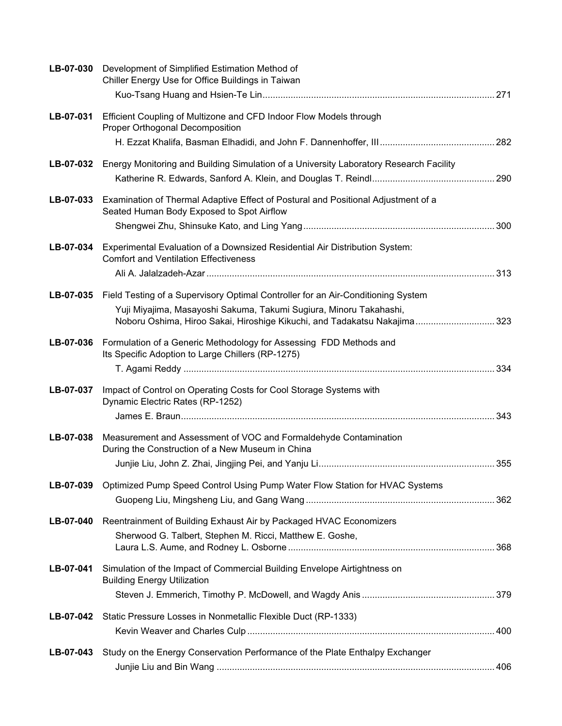| LB-07-030 | Development of Simplified Estimation Method of<br>Chiller Energy Use for Office Buildings in Taiwan                                             |  |
|-----------|-------------------------------------------------------------------------------------------------------------------------------------------------|--|
| LB-07-031 | Efficient Coupling of Multizone and CFD Indoor Flow Models through                                                                              |  |
|           | Proper Orthogonal Decomposition                                                                                                                 |  |
|           |                                                                                                                                                 |  |
|           | LB-07-032 Energy Monitoring and Building Simulation of a University Laboratory Research Facility                                                |  |
|           |                                                                                                                                                 |  |
| LB-07-033 | Examination of Thermal Adaptive Effect of Postural and Positional Adjustment of a<br>Seated Human Body Exposed to Spot Airflow                  |  |
|           |                                                                                                                                                 |  |
| LB-07-034 | Experimental Evaluation of a Downsized Residential Air Distribution System:<br><b>Comfort and Ventilation Effectiveness</b>                     |  |
|           |                                                                                                                                                 |  |
|           | LB-07-035 Field Testing of a Supervisory Optimal Controller for an Air-Conditioning System                                                      |  |
|           | Yuji Miyajima, Masayoshi Sakuma, Takumi Sugiura, Minoru Takahashi,<br>Noboru Oshima, Hiroo Sakai, Hiroshige Kikuchi, and Tadakatsu Nakajima 323 |  |
| LB-07-036 | Formulation of a Generic Methodology for Assessing FDD Methods and                                                                              |  |
|           | Its Specific Adoption to Large Chillers (RP-1275)                                                                                               |  |
|           |                                                                                                                                                 |  |
| LB-07-037 | Impact of Control on Operating Costs for Cool Storage Systems with<br>Dynamic Electric Rates (RP-1252)                                          |  |
|           |                                                                                                                                                 |  |
| LB-07-038 | Measurement and Assessment of VOC and Formaldehyde Contamination<br>During the Construction of a New Museum in China                            |  |
|           |                                                                                                                                                 |  |
| LB-07-039 | Optimized Pump Speed Control Using Pump Water Flow Station for HVAC Systems                                                                     |  |
|           |                                                                                                                                                 |  |
| LB-07-040 | Reentrainment of Building Exhaust Air by Packaged HVAC Economizers                                                                              |  |
|           | Sherwood G. Talbert, Stephen M. Ricci, Matthew E. Goshe,                                                                                        |  |
|           |                                                                                                                                                 |  |
| LB-07-041 | Simulation of the Impact of Commercial Building Envelope Airtightness on<br><b>Building Energy Utilization</b>                                  |  |
|           |                                                                                                                                                 |  |
| LB-07-042 | Static Pressure Losses in Nonmetallic Flexible Duct (RP-1333)                                                                                   |  |
|           |                                                                                                                                                 |  |
| LB-07-043 | Study on the Energy Conservation Performance of the Plate Enthalpy Exchanger                                                                    |  |
|           |                                                                                                                                                 |  |